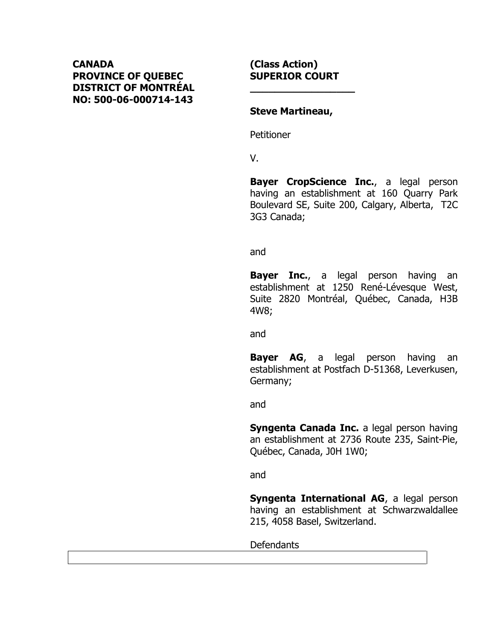## **CANADA PROVINCE OF QUEBEC DISTRICT OF MONTRÉAL NO: 500-06-000714-143**

#### **(Class Action) SUPERIOR COURT**

**\_\_\_\_\_\_\_\_\_\_\_\_\_\_\_\_\_**

#### **Steve Martineau,**

Petitioner

V.

**Bayer CropScience Inc.**, a legal person having an establishment at 160 Quarry Park Boulevard SE, Suite 200, Calgary, Alberta, T2C 3G3 Canada;

and

**Bayer Inc.**, a legal person having an establishment at 1250 René-Lévesque West, Suite 2820 Montréal, Québec, Canada, H3B 4W8;

and

**Bayer AG**, a legal person having an establishment at Postfach D-51368, Leverkusen, Germany;

and

**Syngenta Canada Inc.** a legal person having an establishment at 2736 Route 235, Saint-Pie, Québec, Canada, J0H 1W0;

and

**Syngenta International AG**, a legal person having an establishment at Schwarzwaldallee 215, 4058 Basel, Switzerland.

Defendants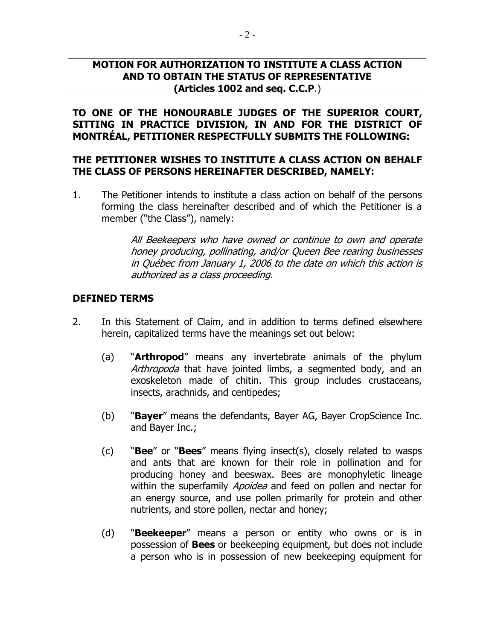#### **MOTION FOR AUTHORIZATION TO INSTITUTE A CLASS ACTION AND TO OBTAIN THE STATUS OF REPRESENTATIVE (Articles 1002 and seq. C.C.P**.)

**TO ONE OF THE HONOURABLE JUDGES OF THE SUPERIOR COURT, SITTING IN PRACTICE DIVISION, IN AND FOR THE DISTRICT OF MONTRÉAL, PETITIONER RESPECTFULLY SUBMITS THE FOLLOWING:**

### **THE PETITIONER WISHES TO INSTITUTE A CLASS ACTION ON BEHALF THE CLASS OF PERSONS HEREINAFTER DESCRIBED, NAMELY:**

1. The Petitioner intends to institute a class action on behalf of the persons forming the class hereinafter described and of which the Petitioner is a member ("the Class"), namely:

> All Beekeepers who have owned or continue to own and operate honey producing, pollinating, and/or Queen Bee rearing businesses in Québec from January 1, 2006 to the date on which this action is authorized as a class proceeding.

### **DEFINED TERMS**

- 2. In this Statement of Claim, and in addition to terms defined elsewhere herein, capitalized terms have the meanings set out below:
	- (a) "**Arthropod**" means any invertebrate animals of the phylum Arthropoda that have jointed limbs, a segmented body, and an exoskeleton made of chitin. This group includes crustaceans, insects, arachnids, and centipedes;
	- (b) "**Bayer**" means the defendants, Bayer AG, Bayer CropScience Inc. and Bayer Inc.;
	- (c) "**Bee**" or "**Bees**" means flying insect(s), closely related to wasps and ants that are known for their role in pollination and for producing honey and beeswax. Bees are monophyletic lineage within the superfamily *Apoidea* and feed on pollen and nectar for an energy source, and use pollen primarily for protein and other nutrients, and store pollen, nectar and honey;
	- (d) "**Beekeeper**" means a person or entity who owns or is in possession of **Bees** or beekeeping equipment, but does not include a person who is in possession of new beekeeping equipment for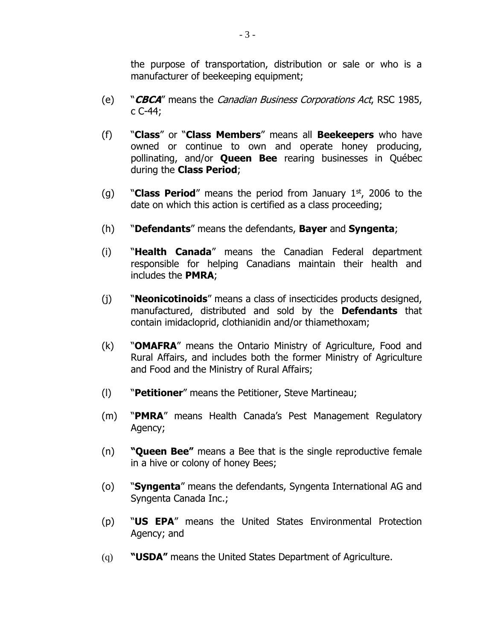the purpose of transportation, distribution or sale or who is a manufacturer of beekeeping equipment;

- (e) "**CBCA**" means the Canadian Business Corporations Act, RSC 1985, c C-44;
- (f) "**Class**" or "**Class Members**" means all **Beekeepers** who have owned or continue to own and operate honey producing, pollinating, and/or **Queen Bee** rearing businesses in Québec during the **Class Period**;
- (g) "**Class Period**" means the period from January 1st, 2006 to the date on which this action is certified as a class proceeding;
- (h) "**Defendants**" means the defendants, **Bayer** and **Syngenta**;
- (i) "**Health Canada**" means the Canadian Federal department responsible for helping Canadians maintain their health and includes the **PMRA**;
- (j) "**Neonicotinoids**" means a class of insecticides products designed, manufactured, distributed and sold by the **Defendants** that contain imidacloprid, clothianidin and/or thiamethoxam;
- (k) "**OMAFRA**" means the Ontario Ministry of Agriculture, Food and Rural Affairs, and includes both the former Ministry of Agriculture and Food and the Ministry of Rural Affairs;
- (l) "**Petitioner**" means the Petitioner, Steve Martineau;
- (m) "**PMRA**" means Health Canada's Pest Management Regulatory Agency;
- (n) **"Queen Bee"** means a Bee that is the single reproductive female in a hive or colony of honey Bees;
- (o) "**Syngenta**" means the defendants, Syngenta International AG and Syngenta Canada Inc.;
- (p) "**US EPA**" means the United States Environmental Protection Agency; and
- (q) **"USDA"** means the United States Department of Agriculture.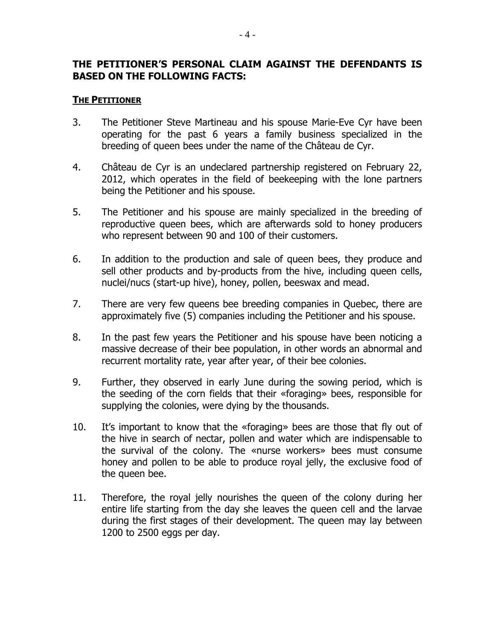### **THE PETITIONER'S PERSONAL CLAIM AGAINST THE DEFENDANTS IS BASED ON THE FOLLOWING FACTS:**

#### **THE PETITIONER**

- 3. The Petitioner Steve Martineau and his spouse Marie-Eve Cyr have been operating for the past 6 years a family business specialized in the breeding of queen bees under the name of the Château de Cyr.
- 4. Château de Cyr is an undeclared partnership registered on February 22, 2012, which operates in the field of beekeeping with the lone partners being the Petitioner and his spouse.
- 5. The Petitioner and his spouse are mainly specialized in the breeding of reproductive queen bees, which are afterwards sold to honey producers who represent between 90 and 100 of their customers.
- 6. In addition to the production and sale of queen bees, they produce and sell other products and by-products from the hive, including queen cells, nuclei/nucs (start-up hive), honey, pollen, beeswax and mead.
- 7. There are very few queens bee breeding companies in Quebec, there are approximately five (5) companies including the Petitioner and his spouse.
- 8. In the past few years the Petitioner and his spouse have been noticing a massive decrease of their bee population, in other words an abnormal and recurrent mortality rate, year after year, of their bee colonies.
- 9. Further, they observed in early June during the sowing period, which is the seeding of the corn fields that their «foraging» bees, responsible for supplying the colonies, were dying by the thousands.
- 10. It's important to know that the «foraging» bees are those that fly out of the hive in search of nectar, pollen and water which are indispensable to the survival of the colony. The «nurse workers» bees must consume honey and pollen to be able to produce royal jelly, the exclusive food of the queen bee.
- 11. Therefore, the royal jelly nourishes the queen of the colony during her entire life starting from the day she leaves the queen cell and the larvae during the first stages of their development. The queen may lay between 1200 to 2500 eggs per day.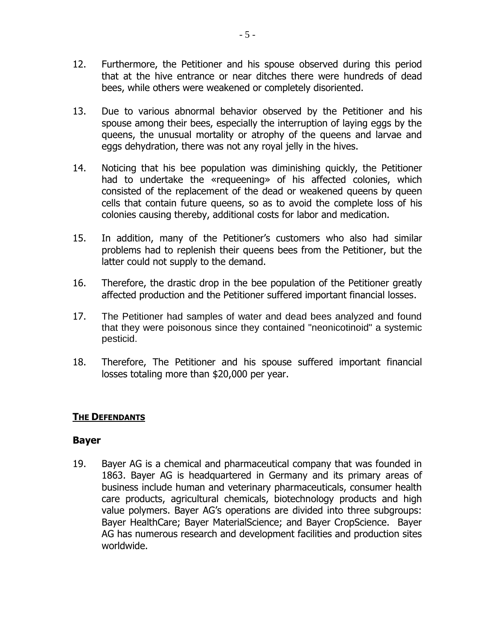- 12. Furthermore, the Petitioner and his spouse observed during this period that at the hive entrance or near ditches there were hundreds of dead bees, while others were weakened or completely disoriented.
- 13. Due to various abnormal behavior observed by the Petitioner and his spouse among their bees, especially the interruption of laying eggs by the queens, the unusual mortality or atrophy of the queens and larvae and eggs dehydration, there was not any royal jelly in the hives.
- 14. Noticing that his bee population was diminishing quickly, the Petitioner had to undertake the «requeening» of his affected colonies, which consisted of the replacement of the dead or weakened queens by queen cells that contain future queens, so as to avoid the complete loss of his colonies causing thereby, additional costs for labor and medication.
- 15. In addition, many of the Petitioner's customers who also had similar problems had to replenish their queens bees from the Petitioner, but the latter could not supply to the demand.
- 16. Therefore, the drastic drop in the bee population of the Petitioner greatly affected production and the Petitioner suffered important financial losses.
- 17. The Petitioner had samples of water and dead bees analyzed and found that they were poisonous since they contained "neonicotinoid" a systemic pesticid.
- 18. Therefore, The Petitioner and his spouse suffered important financial losses totaling more than \$20,000 per year.

## **THE DEFENDANTS**

## **Bayer**

19. Bayer AG is a chemical and pharmaceutical company that was founded in 1863. Bayer AG is headquartered in Germany and its primary areas of business include human and veterinary pharmaceuticals, consumer health care products, agricultural chemicals, biotechnology products and high value polymers. Bayer AG's operations are divided into three subgroups: Bayer HealthCare; Bayer MaterialScience; and Bayer CropScience. Bayer AG has numerous research and development facilities and production sites worldwide.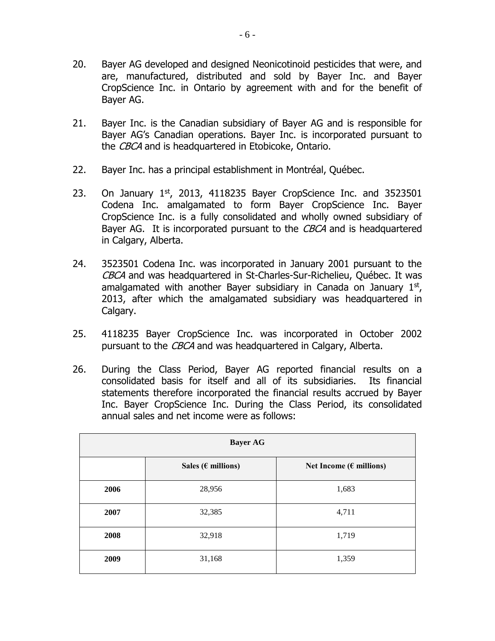- 20. Bayer AG developed and designed Neonicotinoid pesticides that were, and are, manufactured, distributed and sold by Bayer Inc. and Bayer CropScience Inc. in Ontario by agreement with and for the benefit of Bayer AG.
- 21. Bayer Inc. is the Canadian subsidiary of Bayer AG and is responsible for Bayer AG's Canadian operations. Bayer Inc. is incorporated pursuant to the CBCA and is headquartered in Etobicoke, Ontario.
- 22. Bayer Inc. has a principal establishment in Montréal, Québec.
- 23. On January  $1<sup>st</sup>$ , 2013, 4118235 Bayer CropScience Inc. and 3523501 Codena Inc. amalgamated to form Bayer CropScience Inc. Bayer CropScience Inc. is a fully consolidated and wholly owned subsidiary of Bayer AG. It is incorporated pursuant to the CBCA and is headquartered in Calgary, Alberta.
- 24. 3523501 Codena Inc. was incorporated in January 2001 pursuant to the CBCA and was headquartered in St-Charles-Sur-Richelieu, Québec. It was amalgamated with another Bayer subsidiary in Canada on January  $1<sup>st</sup>$ , 2013, after which the amalgamated subsidiary was headquartered in Calgary.
- 25. 4118235 Bayer CropScience Inc. was incorporated in October 2002 pursuant to the CBCA and was headquartered in Calgary, Alberta.
- 26. During the Class Period, Bayer AG reported financial results on a consolidated basis for itself and all of its subsidiaries. Its financial statements therefore incorporated the financial results accrued by Bayer Inc. Bayer CropScience Inc. During the Class Period, its consolidated annual sales and net income were as follows:

| <b>Bayer AG</b> |                              |                                   |  |
|-----------------|------------------------------|-----------------------------------|--|
|                 | Sales ( $\epsilon$ millions) | Net Income ( $\epsilon$ millions) |  |
| 2006            | 28,956                       | 1,683                             |  |
| 2007            | 32,385                       | 4,711                             |  |
| 2008            | 32,918                       | 1,719                             |  |
| 2009            | 31,168                       | 1,359                             |  |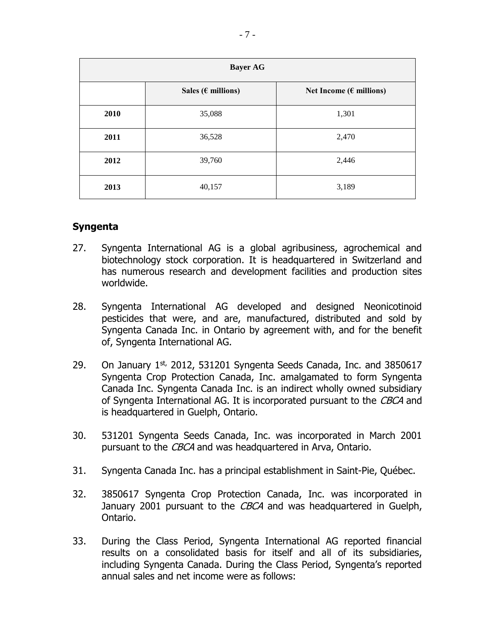| <b>Bayer AG</b> |                              |                                   |  |
|-----------------|------------------------------|-----------------------------------|--|
|                 | Sales ( $\epsilon$ millions) | Net Income ( $\epsilon$ millions) |  |
| 2010            | 35,088                       | 1,301                             |  |
| 2011            | 36,528                       | 2,470                             |  |
| 2012            | 39,760                       | 2,446                             |  |
| 2013            | 40,157                       | 3,189                             |  |

### **Syngenta**

- 27. Syngenta International AG is a global agribusiness, agrochemical and biotechnology stock corporation. It is headquartered in Switzerland and has numerous research and development facilities and production sites worldwide.
- 28. Syngenta International AG developed and designed Neonicotinoid pesticides that were, and are, manufactured, distributed and sold by Syngenta Canada Inc. in Ontario by agreement with, and for the benefit of, Syngenta International AG.
- 29. On January  $1^{st}$ , 2012, 531201 Syngenta Seeds Canada, Inc. and 3850617 Syngenta Crop Protection Canada, Inc. amalgamated to form Syngenta Canada Inc. Syngenta Canada Inc. is an indirect wholly owned subsidiary of Syngenta International AG. It is incorporated pursuant to the CBCA and is headquartered in Guelph, Ontario.
- 30. 531201 Syngenta Seeds Canada, Inc. was incorporated in March 2001 pursuant to the CBCA and was headquartered in Arva, Ontario.
- 31. Syngenta Canada Inc. has a principal establishment in Saint-Pie, Québec.
- 32. 3850617 Syngenta Crop Protection Canada, Inc. was incorporated in January 2001 pursuant to the CBCA and was headquartered in Guelph, Ontario.
- 33. During the Class Period, Syngenta International AG reported financial results on a consolidated basis for itself and all of its subsidiaries, including Syngenta Canada. During the Class Period, Syngenta's reported annual sales and net income were as follows: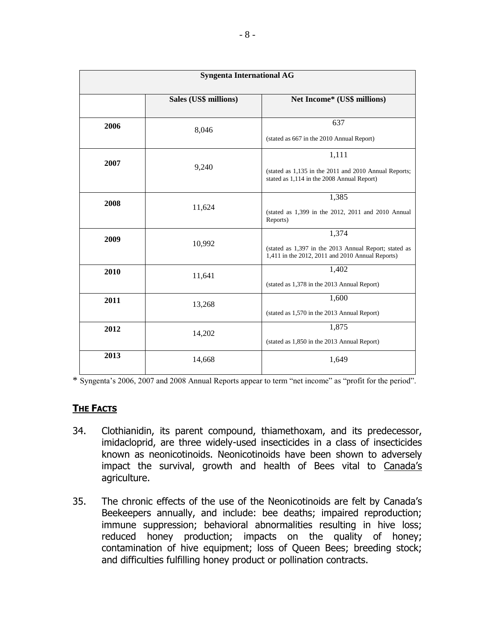| <b>Syngenta International AG</b> |                       |                                                                                                                    |
|----------------------------------|-----------------------|--------------------------------------------------------------------------------------------------------------------|
|                                  | Sales (US\$ millions) | Net Income* (US\$ millions)                                                                                        |
| 2006                             | 8,046                 | 637<br>(stated as 667 in the 2010 Annual Report)                                                                   |
| 2007                             | 9,240                 | 1,111<br>(stated as 1,135 in the 2011 and 2010 Annual Reports;<br>stated as 1,114 in the 2008 Annual Report)       |
| 2008                             | 11,624                | 1,385<br>(stated as 1,399 in the 2012, 2011 and 2010 Annual<br>Reports)                                            |
| 2009                             | 10,992                | 1,374<br>(stated as 1,397 in the 2013 Annual Report; stated as<br>1,411 in the 2012, 2011 and 2010 Annual Reports) |
| 2010                             | 11,641                | 1,402<br>(stated as 1,378 in the 2013 Annual Report)                                                               |
| 2011                             | 13,268                | 1,600<br>(stated as 1,570 in the 2013 Annual Report)                                                               |
| 2012                             | 14,202                | 1,875<br>(stated as 1,850 in the 2013 Annual Report)                                                               |
| 2013                             | 14,668                | 1,649                                                                                                              |

\* Syngenta's 2006, 2007 and 2008 Annual Reports appear to term "net income" as "profit for the period".

#### **THE FACTS**

- 34. Clothianidin, its parent compound, thiamethoxam, and its predecessor, imidacloprid, are three widely-used insecticides in a class of insecticides known as neonicotinoids. Neonicotinoids have been shown to adversely impact the survival, growth and health of Bees vital to Canada's agriculture.
- 35. The chronic effects of the use of the Neonicotinoids are felt by Canada's Beekeepers annually, and include: bee deaths; impaired reproduction; immune suppression; behavioral abnormalities resulting in hive loss; reduced honey production; impacts on the quality of honey; contamination of hive equipment; loss of Queen Bees; breeding stock; and difficulties fulfilling honey product or pollination contracts.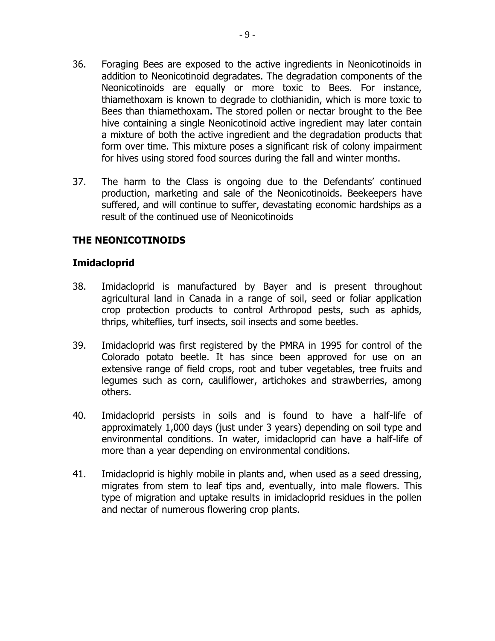- 36. Foraging Bees are exposed to the active ingredients in Neonicotinoids in addition to Neonicotinoid degradates. The degradation components of the Neonicotinoids are equally or more toxic to Bees. For instance, thiamethoxam is known to degrade to clothianidin, which is more toxic to Bees than thiamethoxam. The stored pollen or nectar brought to the Bee hive containing a single Neonicotinoid active ingredient may later contain a mixture of both the active ingredient and the degradation products that form over time. This mixture poses a significant risk of colony impairment for hives using stored food sources during the fall and winter months.
- 37. The harm to the Class is ongoing due to the Defendants' continued production, marketing and sale of the Neonicotinoids. Beekeepers have suffered, and will continue to suffer, devastating economic hardships as a result of the continued use of Neonicotinoids

# **THE NEONICOTINOIDS**

### **Imidacloprid**

- 38. Imidacloprid is manufactured by Bayer and is present throughout agricultural land in Canada in a range of soil, seed or foliar application crop protection products to control Arthropod pests, such as aphids, thrips, whiteflies, turf insects, soil insects and some beetles.
- 39. Imidacloprid was first registered by the PMRA in 1995 for control of the Colorado potato beetle. It has since been approved for use on an extensive range of field crops, root and tuber vegetables, tree fruits and legumes such as corn, cauliflower, artichokes and strawberries, among others.
- 40. Imidacloprid persists in soils and is found to have a half-life of approximately 1,000 days (just under 3 years) depending on soil type and environmental conditions. In water, imidacloprid can have a half-life of more than a year depending on environmental conditions.
- 41. Imidacloprid is highly mobile in plants and, when used as a seed dressing, migrates from stem to leaf tips and, eventually, into male flowers. This type of migration and uptake results in imidacloprid residues in the pollen and nectar of numerous flowering crop plants.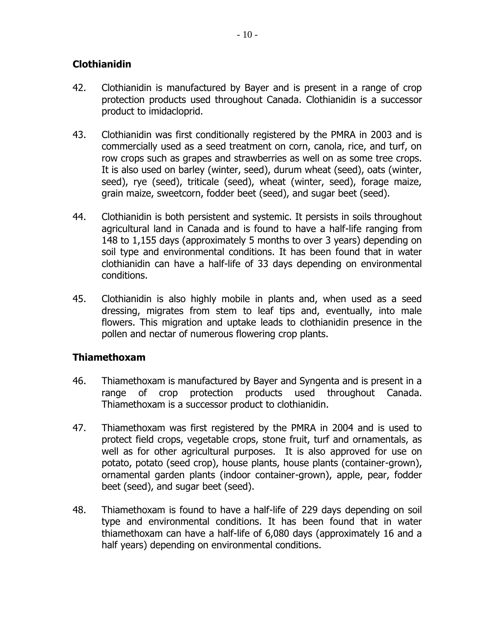# **Clothianidin**

- 42. Clothianidin is manufactured by Bayer and is present in a range of crop protection products used throughout Canada. Clothianidin is a successor product to imidacloprid.
- 43. Clothianidin was first conditionally registered by the PMRA in 2003 and is commercially used as a seed treatment on corn, canola, rice, and turf, on row crops such as grapes and strawberries as well on as some tree crops. It is also used on barley (winter, seed), durum wheat (seed), oats (winter, seed), rye (seed), triticale (seed), wheat (winter, seed), forage maize, grain maize, sweetcorn, fodder beet (seed), and sugar beet (seed).
- 44. Clothianidin is both persistent and systemic. It persists in soils throughout agricultural land in Canada and is found to have a half-life ranging from 148 to 1,155 days (approximately 5 months to over 3 years) depending on soil type and environmental conditions. It has been found that in water clothianidin can have a half-life of 33 days depending on environmental conditions.
- 45. Clothianidin is also highly mobile in plants and, when used as a seed dressing, migrates from stem to leaf tips and, eventually, into male flowers. This migration and uptake leads to clothianidin presence in the pollen and nectar of numerous flowering crop plants.

## **Thiamethoxam**

- 46. Thiamethoxam is manufactured by Bayer and Syngenta and is present in a range of crop protection products used throughout Canada. Thiamethoxam is a successor product to clothianidin.
- 47. Thiamethoxam was first registered by the PMRA in 2004 and is used to protect field crops, vegetable crops, stone fruit, turf and ornamentals, as well as for other agricultural purposes. It is also approved for use on potato, potato (seed crop), house plants, house plants (container-grown), ornamental garden plants (indoor container-grown), apple, pear, fodder beet (seed), and sugar beet (seed).
- 48. Thiamethoxam is found to have a half-life of 229 days depending on soil type and environmental conditions. It has been found that in water thiamethoxam can have a half-life of 6,080 days (approximately 16 and a half years) depending on environmental conditions.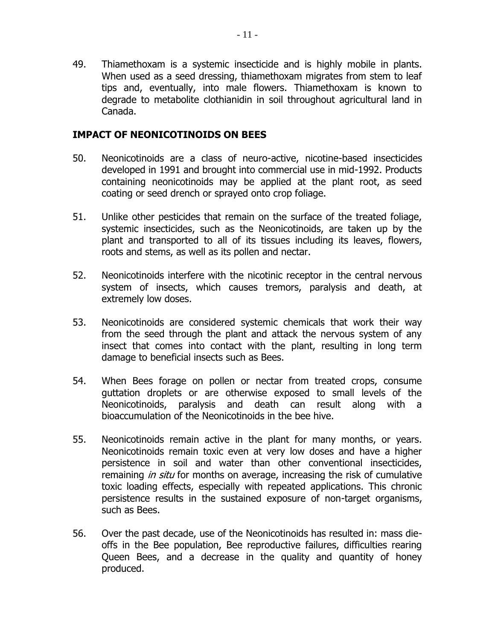49. Thiamethoxam is a systemic insecticide and is highly mobile in plants. When used as a seed dressing, thiamethoxam migrates from stem to leaf tips and, eventually, into male flowers. Thiamethoxam is known to degrade to metabolite clothianidin in soil throughout agricultural land in Canada.

### **IMPACT OF NEONICOTINOIDS ON BEES**

- 50. Neonicotinoids are a class of neuro-active, nicotine-based insecticides developed in 1991 and brought into commercial use in mid-1992. Products containing neonicotinoids may be applied at the plant root, as seed coating or seed drench or sprayed onto crop foliage.
- 51. Unlike other pesticides that remain on the surface of the treated foliage, systemic insecticides, such as the Neonicotinoids, are taken up by the plant and transported to all of its tissues including its leaves, flowers, roots and stems, as well as its pollen and nectar.
- 52. Neonicotinoids interfere with the nicotinic receptor in the central nervous system of insects, which causes tremors, paralysis and death, at extremely low doses.
- 53. Neonicotinoids are considered systemic chemicals that work their way from the seed through the plant and attack the nervous system of any insect that comes into contact with the plant, resulting in long term damage to beneficial insects such as Bees.
- 54. When Bees forage on pollen or nectar from treated crops, consume guttation droplets or are otherwise exposed to small levels of the Neonicotinoids, paralysis and death can result along with a bioaccumulation of the Neonicotinoids in the bee hive.
- 55. Neonicotinoids remain active in the plant for many months, or years. Neonicotinoids remain toxic even at very low doses and have a higher persistence in soil and water than other conventional insecticides, remaining *in situ* for months on average, increasing the risk of cumulative toxic loading effects, especially with repeated applications. This chronic persistence results in the sustained exposure of non-target organisms, such as Bees.
- 56. Over the past decade, use of the Neonicotinoids has resulted in: mass dieoffs in the Bee population, Bee reproductive failures, difficulties rearing Queen Bees, and a decrease in the quality and quantity of honey produced.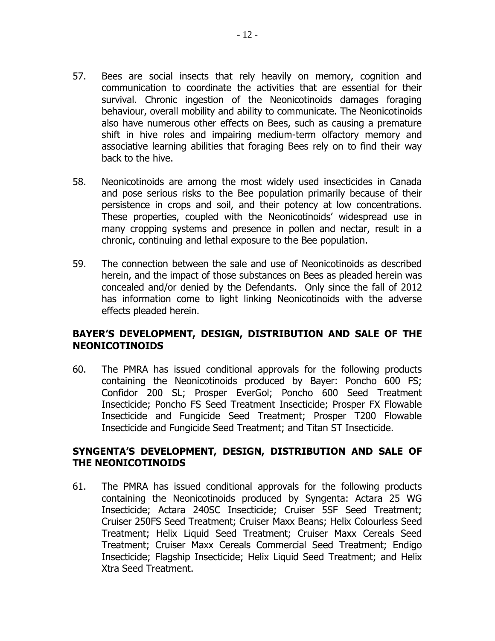- 57. Bees are social insects that rely heavily on memory, cognition and communication to coordinate the activities that are essential for their survival. Chronic ingestion of the Neonicotinoids damages foraging behaviour, overall mobility and ability to communicate. The Neonicotinoids also have numerous other effects on Bees, such as causing a premature shift in hive roles and impairing medium-term olfactory memory and associative learning abilities that foraging Bees rely on to find their way back to the hive.
- 58. Neonicotinoids are among the most widely used insecticides in Canada and pose serious risks to the Bee population primarily because of their persistence in crops and soil, and their potency at low concentrations. These properties, coupled with the Neonicotinoids' widespread use in many cropping systems and presence in pollen and nectar, result in a chronic, continuing and lethal exposure to the Bee population.
- 59. The connection between the sale and use of Neonicotinoids as described herein, and the impact of those substances on Bees as pleaded herein was concealed and/or denied by the Defendants. Only since the fall of 2012 has information come to light linking Neonicotinoids with the adverse effects pleaded herein.

## **BAYER'S DEVELOPMENT, DESIGN, DISTRIBUTION AND SALE OF THE NEONICOTINOIDS**

60. The PMRA has issued conditional approvals for the following products containing the Neonicotinoids produced by Bayer: Poncho 600 FS; Confidor 200 SL; Prosper EverGol; Poncho 600 Seed Treatment Insecticide; Poncho FS Seed Treatment Insecticide; Prosper FX Flowable Insecticide and Fungicide Seed Treatment; Prosper T200 Flowable Insecticide and Fungicide Seed Treatment; and Titan ST Insecticide.

## **SYNGENTA'S DEVELOPMENT, DESIGN, DISTRIBUTION AND SALE OF THE NEONICOTINOIDS**

61. The PMRA has issued conditional approvals for the following products containing the Neonicotinoids produced by Syngenta: Actara 25 WG Insecticide; Actara 240SC Insecticide; Cruiser 5SF Seed Treatment; Cruiser 250FS Seed Treatment; Cruiser Maxx Beans; Helix Colourless Seed Treatment; Helix Liquid Seed Treatment; Cruiser Maxx Cereals Seed Treatment; Cruiser Maxx Cereals Commercial Seed Treatment; Endigo Insecticide; Flagship Insecticide; Helix Liquid Seed Treatment; and Helix Xtra Seed Treatment.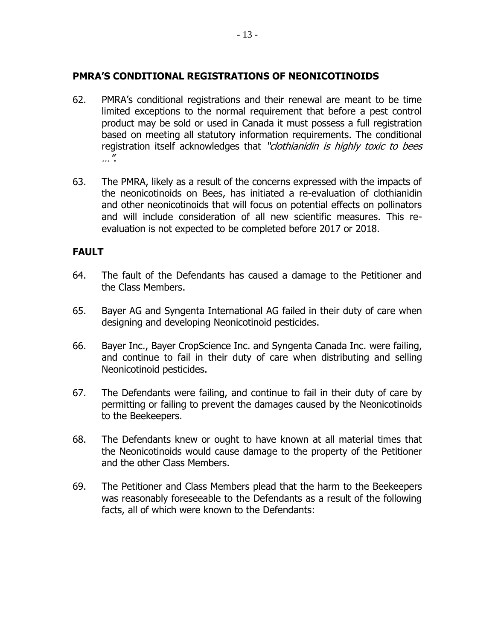### **PMRA'S CONDITIONAL REGISTRATIONS OF NEONICOTINOIDS**

- 62. PMRA's conditional registrations and their renewal are meant to be time limited exceptions to the normal requirement that before a pest control product may be sold or used in Canada it must possess a full registration based on meeting all statutory information requirements. The conditional registration itself acknowledges that "clothianidin is highly toxic to bees …".
- 63. The PMRA, likely as a result of the concerns expressed with the impacts of the neonicotinoids on Bees, has initiated a re-evaluation of clothianidin and other neonicotinoids that will focus on potential effects on pollinators and will include consideration of all new scientific measures. This reevaluation is not expected to be completed before 2017 or 2018.

## **FAULT**

- 64. The fault of the Defendants has caused a damage to the Petitioner and the Class Members.
- 65. Bayer AG and Syngenta International AG failed in their duty of care when designing and developing Neonicotinoid pesticides.
- 66. Bayer Inc., Bayer CropScience Inc. and Syngenta Canada Inc. were failing, and continue to fail in their duty of care when distributing and selling Neonicotinoid pesticides.
- 67. The Defendants were failing, and continue to fail in their duty of care by permitting or failing to prevent the damages caused by the Neonicotinoids to the Beekeepers.
- 68. The Defendants knew or ought to have known at all material times that the Neonicotinoids would cause damage to the property of the Petitioner and the other Class Members.
- 69. The Petitioner and Class Members plead that the harm to the Beekeepers was reasonably foreseeable to the Defendants as a result of the following facts, all of which were known to the Defendants: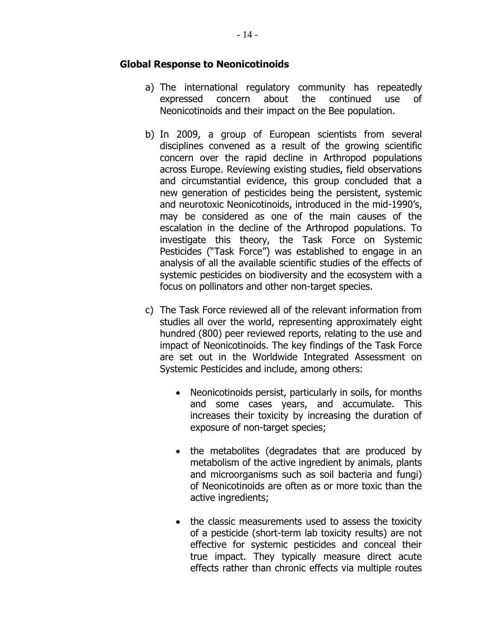#### **Global Response to Neonicotinoids**

- a) The international regulatory community has repeatedly expressed concern about the continued use of Neonicotinoids and their impact on the Bee population.
- b) In 2009, a group of European scientists from several disciplines convened as a result of the growing scientific concern over the rapid decline in Arthropod populations across Europe. Reviewing existing studies, field observations and circumstantial evidence, this group concluded that a new generation of pesticides being the persistent, systemic and neurotoxic Neonicotinoids, introduced in the mid-1990's, may be considered as one of the main causes of the escalation in the decline of the Arthropod populations. To investigate this theory, the Task Force on Systemic Pesticides ("Task Force") was established to engage in an analysis of all the available scientific studies of the effects of systemic pesticides on biodiversity and the ecosystem with a focus on pollinators and other non-target species.
- c) The Task Force reviewed all of the relevant information from studies all over the world, representing approximately eight hundred (800) peer reviewed reports, relating to the use and impact of Neonicotinoids. The key findings of the Task Force are set out in the Worldwide Integrated Assessment on Systemic Pesticides and include, among others:
	- Neonicotinoids persist, particularly in soils, for months and some cases years, and accumulate. This increases their toxicity by increasing the duration of exposure of non-target species;
	- the metabolites (degradates that are produced by metabolism of the active ingredient by animals, plants and microorganisms such as soil bacteria and fungi) of Neonicotinoids are often as or more toxic than the active ingredients;
	- the classic measurements used to assess the toxicity of a pesticide (short-term lab toxicity results) are not effective for systemic pesticides and conceal their true impact. They typically measure direct acute effects rather than chronic effects via multiple routes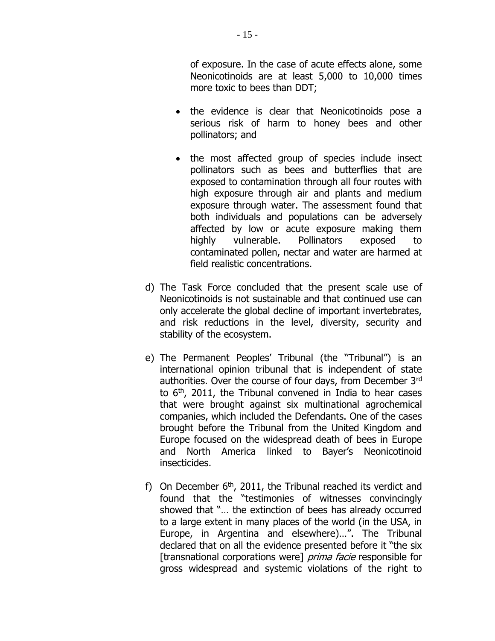of exposure. In the case of acute effects alone, some Neonicotinoids are at least 5,000 to 10,000 times more toxic to bees than DDT;

- the evidence is clear that Neonicotinoids pose a serious risk of harm to honey bees and other pollinators; and
- the most affected group of species include insect pollinators such as bees and butterflies that are exposed to contamination through all four routes with high exposure through air and plants and medium exposure through water. The assessment found that both individuals and populations can be adversely affected by low or acute exposure making them highly vulnerable. Pollinators exposed to contaminated pollen, nectar and water are harmed at field realistic concentrations.
- d) The Task Force concluded that the present scale use of Neonicotinoids is not sustainable and that continued use can only accelerate the global decline of important invertebrates, and risk reductions in the level, diversity, security and stability of the ecosystem.
- e) The Permanent Peoples' Tribunal (the "Tribunal") is an international opinion tribunal that is independent of state authorities. Over the course of four days, from December 3rd to  $6<sup>th</sup>$ , 2011, the Tribunal convened in India to hear cases that were brought against six multinational agrochemical companies, which included the Defendants. One of the cases brought before the Tribunal from the United Kingdom and Europe focused on the widespread death of bees in Europe and North America linked to Bayer's Neonicotinoid insecticides.
- f) On December  $6<sup>th</sup>$ , 2011, the Tribunal reached its verdict and found that the "testimonies of witnesses convincingly showed that "… the extinction of bees has already occurred to a large extent in many places of the world (in the USA, in Europe, in Argentina and elsewhere)…". The Tribunal declared that on all the evidence presented before it "the six [transnational corporations were] *prima facie* responsible for gross widespread and systemic violations of the right to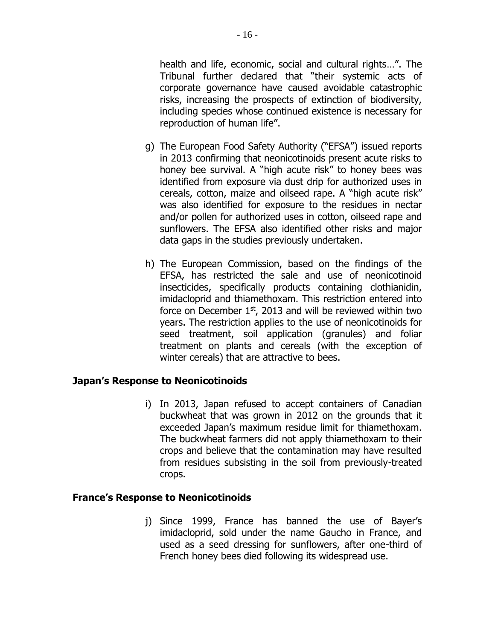health and life, economic, social and cultural rights…". The Tribunal further declared that "their systemic acts of corporate governance have caused avoidable catastrophic risks, increasing the prospects of extinction of biodiversity, including species whose continued existence is necessary for reproduction of human life".

- g) The European Food Safety Authority ("EFSA") issued reports in 2013 confirming that neonicotinoids present acute risks to honey bee survival. A "high acute risk" to honey bees was identified from exposure via dust drip for authorized uses in cereals, cotton, maize and oilseed rape. A "high acute risk" was also identified for exposure to the residues in nectar and/or pollen for authorized uses in cotton, oilseed rape and sunflowers. The EFSA also identified other risks and major data gaps in the studies previously undertaken.
- h) The European Commission, based on the findings of the EFSA, has restricted the sale and use of neonicotinoid insecticides, specifically products containing clothianidin, imidacloprid and thiamethoxam. This restriction entered into force on December  $1<sup>st</sup>$ , 2013 and will be reviewed within two years. The restriction applies to the use of neonicotinoids for seed treatment, soil application (granules) and foliar treatment on plants and cereals (with the exception of winter cereals) that are attractive to bees.

## **Japan's Response to Neonicotinoids**

i) In 2013, Japan refused to accept containers of Canadian buckwheat that was grown in 2012 on the grounds that it exceeded Japan's maximum residue limit for thiamethoxam. The buckwheat farmers did not apply thiamethoxam to their crops and believe that the contamination may have resulted from residues subsisting in the soil from previously-treated crops.

#### **France's Response to Neonicotinoids**

j) Since 1999, France has banned the use of Bayer's imidacloprid, sold under the name Gaucho in France, and used as a seed dressing for sunflowers, after one-third of French honey bees died following its widespread use.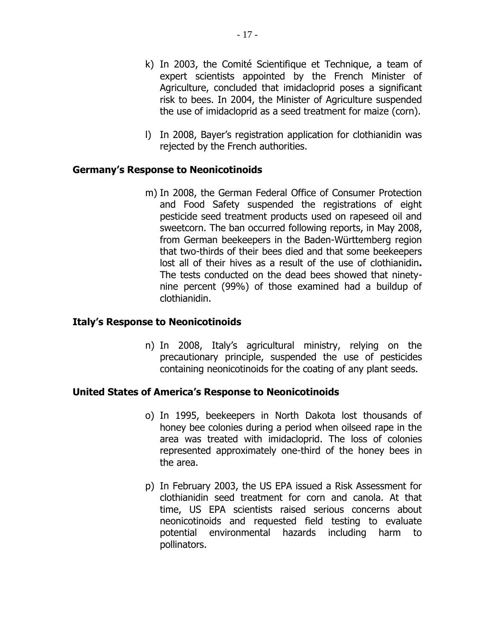- k) In 2003, the Comité Scientifique et Technique, a team of expert scientists appointed by the French Minister of Agriculture, concluded that imidacloprid poses a significant risk to bees. In 2004, the Minister of Agriculture suspended the use of imidacloprid as a seed treatment for maize (corn).
- l) In 2008, Bayer's registration application for clothianidin was rejected by the French authorities.

## **Germany's Response to Neonicotinoids**

m) In 2008, the German Federal Office of Consumer Protection and Food Safety suspended the registrations of eight pesticide seed treatment products used on rapeseed oil and sweetcorn. The ban occurred following reports, in May 2008, from German beekeepers in the Baden-Württemberg region that two-thirds of their bees died and that some beekeepers lost all of their hives as a result of the use of clothianidin**.** The tests conducted on the dead bees showed that ninetynine percent (99%) of those examined had a buildup of clothianidin.

#### **Italy's Response to Neonicotinoids**

n) In 2008, Italy's agricultural ministry, relying on the precautionary principle, suspended the use of pesticides containing neonicotinoids for the coating of any plant seeds.

#### **United States of America's Response to Neonicotinoids**

- o) In 1995, beekeepers in North Dakota lost thousands of honey bee colonies during a period when oilseed rape in the area was treated with imidacloprid. The loss of colonies represented approximately one-third of the honey bees in the area.
- p) In February 2003, the US EPA issued a Risk Assessment for clothianidin seed treatment for corn and canola. At that time, US EPA scientists raised serious concerns about neonicotinoids and requested field testing to evaluate potential environmental hazards including harm to pollinators.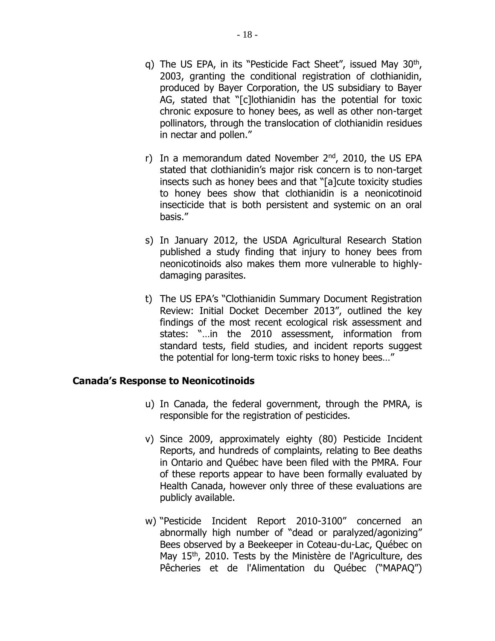- q) The US EPA, in its "Pesticide Fact Sheet", issued May  $30<sup>th</sup>$ , 2003, granting the conditional registration of clothianidin, produced by Bayer Corporation, the US subsidiary to Bayer AG, stated that "[c]lothianidin has the potential for toxic chronic exposure to honey bees, as well as other non-target pollinators, through the translocation of clothianidin residues in nectar and pollen."
- r) In a memorandum dated November  $2<sup>nd</sup>$ , 2010, the US EPA stated that clothianidin's major risk concern is to non-target insects such as honey bees and that "[a]cute toxicity studies to honey bees show that clothianidin is a neonicotinoid insecticide that is both persistent and systemic on an oral basis."
- s) In January 2012, the USDA Agricultural Research Station published a study finding that injury to honey bees from neonicotinoids also makes them more vulnerable to highlydamaging parasites.
- t) The US EPA's "Clothianidin Summary Document Registration Review: Initial Docket December 2013", outlined the key findings of the most recent ecological risk assessment and states: "…in the 2010 assessment, information from standard tests, field studies, and incident reports suggest the potential for long-term toxic risks to honey bees…"

#### **Canada's Response to Neonicotinoids**

- u) In Canada, the federal government, through the PMRA, is responsible for the registration of pesticides.
- v) Since 2009, approximately eighty (80) Pesticide Incident Reports, and hundreds of complaints, relating to Bee deaths in Ontario and Québec have been filed with the PMRA. Four of these reports appear to have been formally evaluated by Health Canada, however only three of these evaluations are publicly available.
- w) "Pesticide Incident Report 2010-3100" concerned an abnormally high number of "dead or paralyzed/agonizing" Bees observed by a Beekeeper in Coteau-du-Lac, Québec on May 15<sup>th</sup>, 2010. Tests by the Ministère de l'Agriculture, des Pêcheries et de l'Alimentation du Québec ("MAPAQ")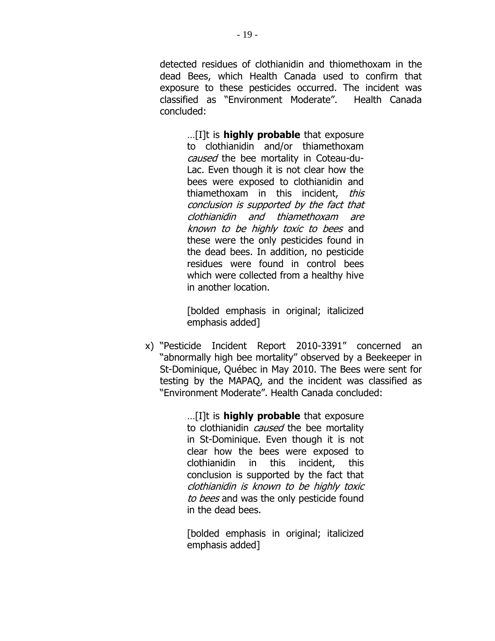detected residues of clothianidin and thiomethoxam in the dead Bees, which Health Canada used to confirm that exposure to these pesticides occurred. The incident was classified as "Environment Moderate". Health Canada concluded:

…[I]t is **highly probable** that exposure to clothianidin and/or thiamethoxam caused the bee mortality in Coteau-du-Lac. Even though it is not clear how the bees were exposed to clothianidin and thiamethoxam in this incident, this conclusion is supported by the fact that clothianidin and thiamethoxam are known to be highly toxic to bees and these were the only pesticides found in the dead bees. In addition, no pesticide residues were found in control bees which were collected from a healthy hive in another location.

[bolded emphasis in original; italicized emphasis added]

x) "Pesticide Incident Report 2010-3391" concerned an "abnormally high bee mortality" observed by a Beekeeper in St-Dominique, Québec in May 2010. The Bees were sent for testing by the MAPAQ, and the incident was classified as "Environment Moderate". Health Canada concluded:

> …[I]t is **highly probable** that exposure to clothianidin *caused* the bee mortality in St-Dominique. Even though it is not clear how the bees were exposed to clothianidin in this incident, this conclusion is supported by the fact that clothianidin is known to be highly toxic to bees and was the only pesticide found in the dead bees.

[bolded emphasis in original; italicized emphasis added]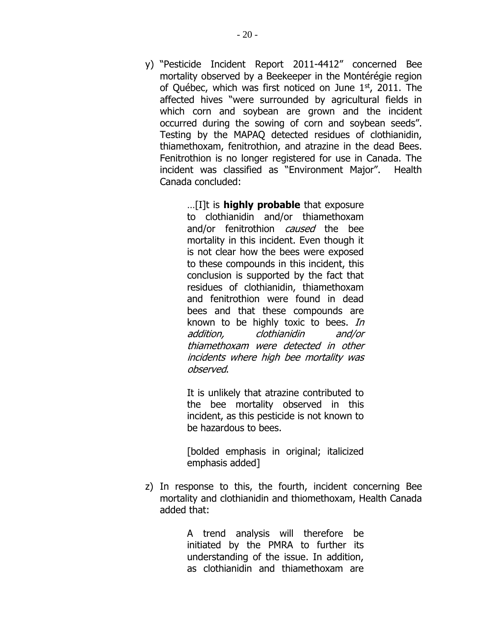y) "Pesticide Incident Report 2011-4412" concerned Bee mortality observed by a Beekeeper in the Montérégie region of Québec, which was first noticed on June  $1<sup>st</sup>$ , 2011. The affected hives "were surrounded by agricultural fields in which corn and soybean are grown and the incident occurred during the sowing of corn and soybean seeds". Testing by the MAPAQ detected residues of clothianidin, thiamethoxam, fenitrothion, and atrazine in the dead Bees. Fenitrothion is no longer registered for use in Canada. The incident was classified as "Environment Major". Health Canada concluded:

> …[I]t is **highly probable** that exposure to clothianidin and/or thiamethoxam and/or fenitrothion *caused* the bee mortality in this incident. Even though it is not clear how the bees were exposed to these compounds in this incident, this conclusion is supported by the fact that residues of clothianidin, thiamethoxam and fenitrothion were found in dead bees and that these compounds are known to be highly toxic to bees. In addition, clothianidin and/or thiamethoxam were detected in other incidents where high bee mortality was observed.

It is unlikely that atrazine contributed to the bee mortality observed in this incident, as this pesticide is not known to be hazardous to bees.

[bolded emphasis in original; italicized emphasis added]

z) In response to this, the fourth, incident concerning Bee mortality and clothianidin and thiomethoxam, Health Canada added that:

> A trend analysis will therefore be initiated by the PMRA to further its understanding of the issue. In addition, as clothianidin and thiamethoxam are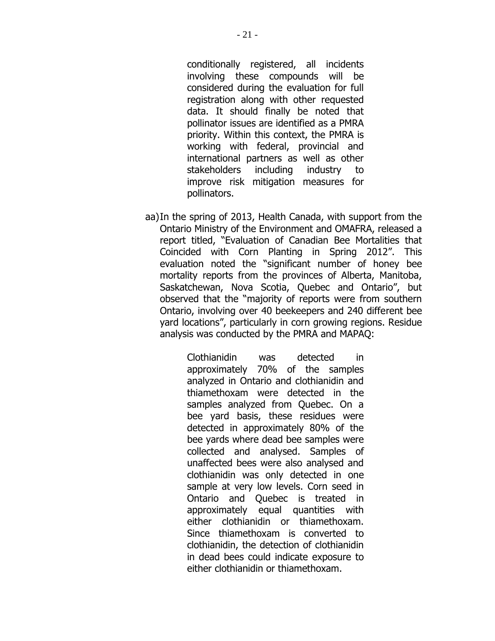conditionally registered, all incidents involving these compounds will be considered during the evaluation for full registration along with other requested data. It should finally be noted that pollinator issues are identified as a PMRA priority. Within this context, the PMRA is working with federal, provincial and international partners as well as other stakeholders including industry to improve risk mitigation measures for pollinators.

aa)In the spring of 2013, Health Canada, with support from the Ontario Ministry of the Environment and OMAFRA, released a report titled, "Evaluation of Canadian Bee Mortalities that Coincided with Corn Planting in Spring 2012". This evaluation noted the "significant number of honey bee mortality reports from the provinces of Alberta, Manitoba, Saskatchewan, Nova Scotia, Quebec and Ontario", but observed that the "majority of reports were from southern Ontario, involving over 40 beekeepers and 240 different bee yard locations", particularly in corn growing regions. Residue analysis was conducted by the PMRA and MAPAQ:

> Clothianidin was detected in approximately 70% of the samples analyzed in Ontario and clothianidin and thiamethoxam were detected in the samples analyzed from Quebec. On a bee yard basis, these residues were detected in approximately 80% of the bee yards where dead bee samples were collected and analysed. Samples of unaffected bees were also analysed and clothianidin was only detected in one sample at very low levels. Corn seed in Ontario and Quebec is treated in approximately equal quantities with either clothianidin or thiamethoxam. Since thiamethoxam is converted to clothianidin, the detection of clothianidin in dead bees could indicate exposure to either clothianidin or thiamethoxam.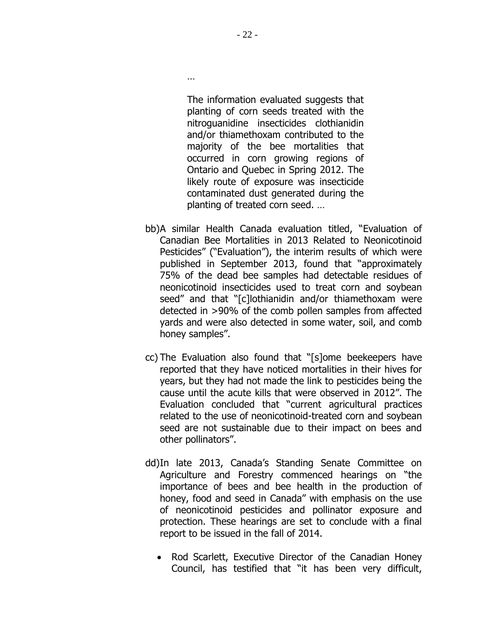The information evaluated suggests that planting of corn seeds treated with the nitroguanidine insecticides clothianidin and/or thiamethoxam contributed to the majority of the bee mortalities that occurred in corn growing regions of Ontario and Quebec in Spring 2012. The likely route of exposure was insecticide contaminated dust generated during the planting of treated corn seed. …

- bb)A similar Health Canada evaluation titled, "Evaluation of Canadian Bee Mortalities in 2013 Related to Neonicotinoid Pesticides" ("Evaluation"), the interim results of which were published in September 2013, found that "approximately 75% of the dead bee samples had detectable residues of neonicotinoid insecticides used to treat corn and soybean seed" and that "[c]lothianidin and/or thiamethoxam were detected in >90% of the comb pollen samples from affected yards and were also detected in some water, soil, and comb honey samples".
- cc) The Evaluation also found that "[s]ome beekeepers have reported that they have noticed mortalities in their hives for years, but they had not made the link to pesticides being the cause until the acute kills that were observed in 2012". The Evaluation concluded that "current agricultural practices related to the use of neonicotinoid-treated corn and soybean seed are not sustainable due to their impact on bees and other pollinators".
- dd)In late 2013, Canada's Standing Senate Committee on Agriculture and Forestry commenced hearings on "the importance of bees and bee health in the production of honey, food and seed in Canada" with emphasis on the use of neonicotinoid pesticides and pollinator exposure and protection. These hearings are set to conclude with a final report to be issued in the fall of 2014.
	- Rod Scarlett, Executive Director of the Canadian Honey Council, has testified that "it has been very difficult,

…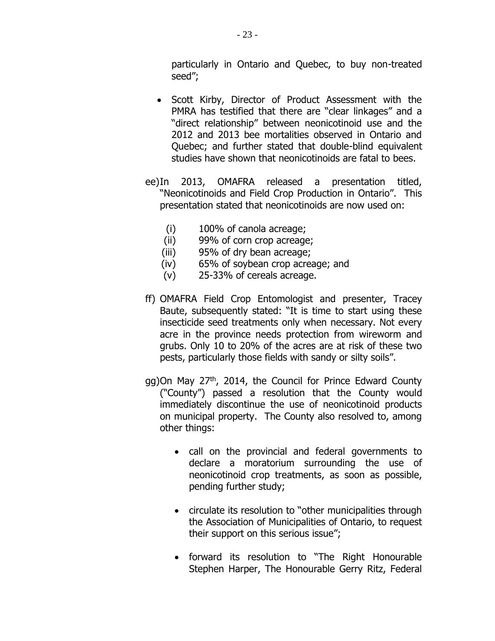particularly in Ontario and Quebec, to buy non-treated seed";

- Scott Kirby, Director of Product Assessment with the PMRA has testified that there are "clear linkages" and a "direct relationship" between neonicotinoid use and the 2012 and 2013 bee mortalities observed in Ontario and Quebec; and further stated that double-blind equivalent studies have shown that neonicotinoids are fatal to bees.
- ee)In 2013, OMAFRA released a presentation titled, "Neonicotinoids and Field Crop Production in Ontario". This presentation stated that neonicotinoids are now used on:
	- (i) 100% of canola acreage;
	- (ii) 99% of corn crop acreage;
	- (iii) 95% of dry bean acreage;
	- (iv) 65% of soybean crop acreage; and
	- (v) 25-33% of cereals acreage.
- ff) OMAFRA Field Crop Entomologist and presenter, Tracey Baute, subsequently stated: "It is time to start using these insecticide seed treatments only when necessary. Not every acre in the province needs protection from wireworm and grubs. Only 10 to 20% of the acres are at risk of these two pests, particularly those fields with sandy or silty soils".
- gg)On May 27<sup>th</sup>, 2014, the Council for Prince Edward County ("County") passed a resolution that the County would immediately discontinue the use of neonicotinoid products on municipal property. The County also resolved to, among other things:
	- call on the provincial and federal governments to declare a moratorium surrounding the use of neonicotinoid crop treatments, as soon as possible, pending further study;
	- circulate its resolution to "other municipalities through the Association of Municipalities of Ontario, to request their support on this serious issue";
	- forward its resolution to "The Right Honourable Stephen Harper, The Honourable Gerry Ritz, Federal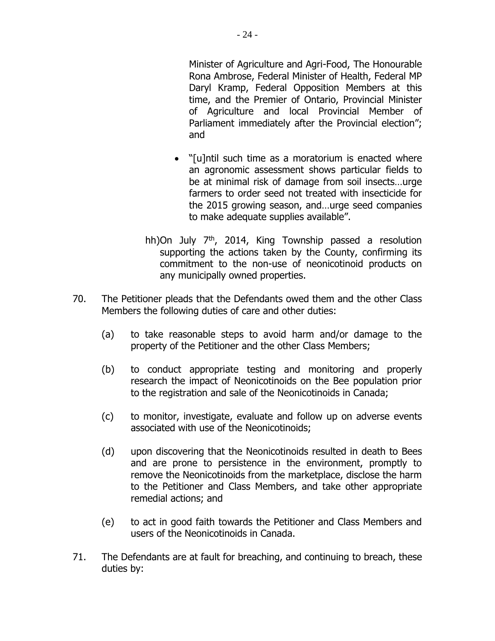- 24 -

Minister of Agriculture and Agri-Food, The Honourable Rona Ambrose, Federal Minister of Health, Federal MP Daryl Kramp, Federal Opposition Members at this time, and the Premier of Ontario, Provincial Minister of Agriculture and local Provincial Member of Parliament immediately after the Provincial election"; and

- "[u]ntil such time as a moratorium is enacted where an agronomic assessment shows particular fields to be at minimal risk of damage from soil insects…urge farmers to order seed not treated with insecticide for the 2015 growing season, and…urge seed companies to make adequate supplies available".
- hh)On July  $7<sup>th</sup>$ , 2014, King Township passed a resolution supporting the actions taken by the County, confirming its commitment to the non-use of neonicotinoid products on any municipally owned properties.
- 70. The Petitioner pleads that the Defendants owed them and the other Class Members the following duties of care and other duties:
	- (a) to take reasonable steps to avoid harm and/or damage to the property of the Petitioner and the other Class Members;
	- (b) to conduct appropriate testing and monitoring and properly research the impact of Neonicotinoids on the Bee population prior to the registration and sale of the Neonicotinoids in Canada;
	- (c) to monitor, investigate, evaluate and follow up on adverse events associated with use of the Neonicotinoids;
	- (d) upon discovering that the Neonicotinoids resulted in death to Bees and are prone to persistence in the environment, promptly to remove the Neonicotinoids from the marketplace, disclose the harm to the Petitioner and Class Members, and take other appropriate remedial actions; and
	- (e) to act in good faith towards the Petitioner and Class Members and users of the Neonicotinoids in Canada.
- 71. The Defendants are at fault for breaching, and continuing to breach, these duties by: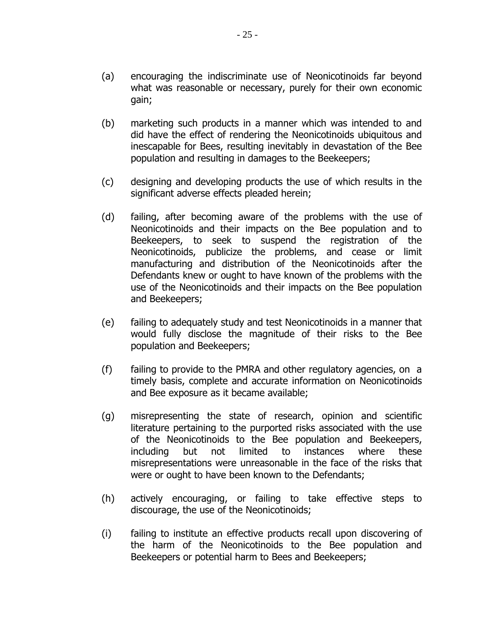- (a) encouraging the indiscriminate use of Neonicotinoids far beyond what was reasonable or necessary, purely for their own economic gain;
- (b) marketing such products in a manner which was intended to and did have the effect of rendering the Neonicotinoids ubiquitous and inescapable for Bees, resulting inevitably in devastation of the Bee population and resulting in damages to the Beekeepers;
- (c) designing and developing products the use of which results in the significant adverse effects pleaded herein;
- (d) failing, after becoming aware of the problems with the use of Neonicotinoids and their impacts on the Bee population and to Beekeepers, to seek to suspend the registration of the Neonicotinoids, publicize the problems, and cease or limit manufacturing and distribution of the Neonicotinoids after the Defendants knew or ought to have known of the problems with the use of the Neonicotinoids and their impacts on the Bee population and Beekeepers;
- (e) failing to adequately study and test Neonicotinoids in a manner that would fully disclose the magnitude of their risks to the Bee population and Beekeepers;
- (f) failing to provide to the PMRA and other regulatory agencies, on a timely basis, complete and accurate information on Neonicotinoids and Bee exposure as it became available;
- (g) misrepresenting the state of research, opinion and scientific literature pertaining to the purported risks associated with the use of the Neonicotinoids to the Bee population and Beekeepers, including but not limited to instances where these misrepresentations were unreasonable in the face of the risks that were or ought to have been known to the Defendants;
- (h) actively encouraging, or failing to take effective steps to discourage, the use of the Neonicotinoids;
- (i) failing to institute an effective products recall upon discovering of the harm of the Neonicotinoids to the Bee population and Beekeepers or potential harm to Bees and Beekeepers;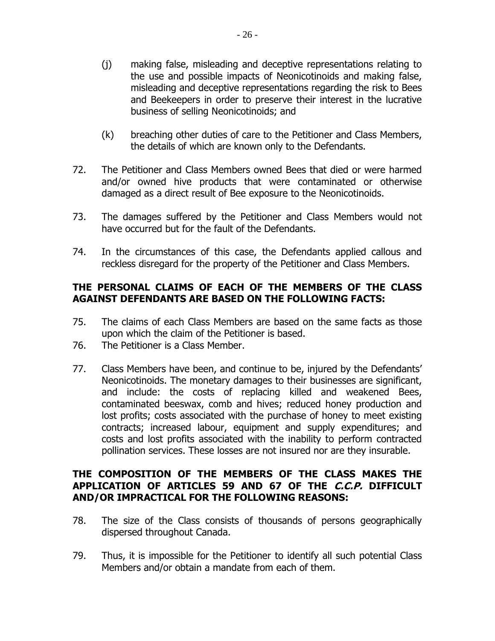- (j) making false, misleading and deceptive representations relating to the use and possible impacts of Neonicotinoids and making false, misleading and deceptive representations regarding the risk to Bees and Beekeepers in order to preserve their interest in the lucrative business of selling Neonicotinoids; and
- (k) breaching other duties of care to the Petitioner and Class Members, the details of which are known only to the Defendants.
- 72. The Petitioner and Class Members owned Bees that died or were harmed and/or owned hive products that were contaminated or otherwise damaged as a direct result of Bee exposure to the Neonicotinoids.
- 73. The damages suffered by the Petitioner and Class Members would not have occurred but for the fault of the Defendants.
- 74. In the circumstances of this case, the Defendants applied callous and reckless disregard for the property of the Petitioner and Class Members.

## **THE PERSONAL CLAIMS OF EACH OF THE MEMBERS OF THE CLASS AGAINST DEFENDANTS ARE BASED ON THE FOLLOWING FACTS:**

- 75. The claims of each Class Members are based on the same facts as those upon which the claim of the Petitioner is based.
- 76. The Petitioner is a Class Member.
- 77. Class Members have been, and continue to be, injured by the Defendants' Neonicotinoids. The monetary damages to their businesses are significant, and include: the costs of replacing killed and weakened Bees, contaminated beeswax, comb and hives; reduced honey production and lost profits; costs associated with the purchase of honey to meet existing contracts; increased labour, equipment and supply expenditures; and costs and lost profits associated with the inability to perform contracted pollination services. These losses are not insured nor are they insurable.

# **THE COMPOSITION OF THE MEMBERS OF THE CLASS MAKES THE APPLICATION OF ARTICLES 59 AND 67 OF THE C.C.P. DIFFICULT AND/OR IMPRACTICAL FOR THE FOLLOWING REASONS:**

- 78. The size of the Class consists of thousands of persons geographically dispersed throughout Canada.
- 79. Thus, it is impossible for the Petitioner to identify all such potential Class Members and/or obtain a mandate from each of them.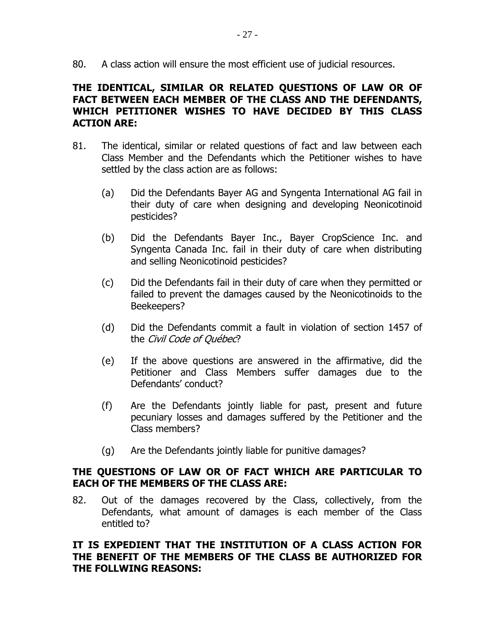80. A class action will ensure the most efficient use of judicial resources.

# **THE IDENTICAL, SIMILAR OR RELATED QUESTIONS OF LAW OR OF FACT BETWEEN EACH MEMBER OF THE CLASS AND THE DEFENDANTS, WHICH PETITIONER WISHES TO HAVE DECIDED BY THIS CLASS ACTION ARE:**

- 81. The identical, similar or related questions of fact and law between each Class Member and the Defendants which the Petitioner wishes to have settled by the class action are as follows:
	- (a) Did the Defendants Bayer AG and Syngenta International AG fail in their duty of care when designing and developing Neonicotinoid pesticides?
	- (b) Did the Defendants Bayer Inc., Bayer CropScience Inc. and Syngenta Canada Inc. fail in their duty of care when distributing and selling Neonicotinoid pesticides?
	- (c) Did the Defendants fail in their duty of care when they permitted or failed to prevent the damages caused by the Neonicotinoids to the Beekeepers?
	- (d) Did the Defendants commit a fault in violation of section 1457 of the Civil Code of Québec?
	- (e) If the above questions are answered in the affirmative, did the Petitioner and Class Members suffer damages due to the Defendants' conduct?
	- (f) Are the Defendants jointly liable for past, present and future pecuniary losses and damages suffered by the Petitioner and the Class members?
	- (g) Are the Defendants jointly liable for punitive damages?

## **THE QUESTIONS OF LAW OR OF FACT WHICH ARE PARTICULAR TO EACH OF THE MEMBERS OF THE CLASS ARE:**

82. Out of the damages recovered by the Class, collectively, from the Defendants, what amount of damages is each member of the Class entitled to?

### **IT IS EXPEDIENT THAT THE INSTITUTION OF A CLASS ACTION FOR THE BENEFIT OF THE MEMBERS OF THE CLASS BE AUTHORIZED FOR THE FOLLWING REASONS:**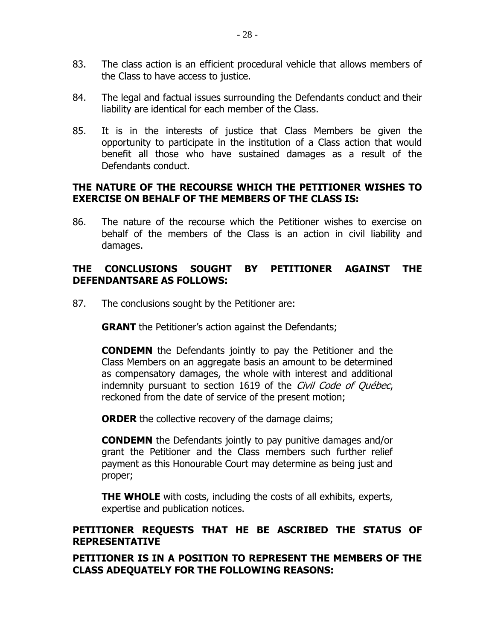- 83. The class action is an efficient procedural vehicle that allows members of the Class to have access to justice.
- 84. The legal and factual issues surrounding the Defendants conduct and their liability are identical for each member of the Class.
- 85. It is in the interests of justice that Class Members be given the opportunity to participate in the institution of a Class action that would benefit all those who have sustained damages as a result of the Defendants conduct.

## **THE NATURE OF THE RECOURSE WHICH THE PETITIONER WISHES TO EXERCISE ON BEHALF OF THE MEMBERS OF THE CLASS IS:**

86. The nature of the recourse which the Petitioner wishes to exercise on behalf of the members of the Class is an action in civil liability and damages.

## **THE CONCLUSIONS SOUGHT BY PETITIONER AGAINST THE DEFENDANTSARE AS FOLLOWS:**

87. The conclusions sought by the Petitioner are:

**GRANT** the Petitioner's action against the Defendants;

**CONDEMN** the Defendants jointly to pay the Petitioner and the Class Members on an aggregate basis an amount to be determined as compensatory damages, the whole with interest and additional indemnity pursuant to section 1619 of the Civil Code of Québec, reckoned from the date of service of the present motion;

**ORDER** the collective recovery of the damage claims;

**CONDEMN** the Defendants jointly to pay punitive damages and/or grant the Petitioner and the Class members such further relief payment as this Honourable Court may determine as being just and proper;

**THE WHOLE** with costs, including the costs of all exhibits, experts, expertise and publication notices.

## **PETITIONER REQUESTS THAT HE BE ASCRIBED THE STATUS OF REPRESENTATIVE**

**PETITIONER IS IN A POSITION TO REPRESENT THE MEMBERS OF THE CLASS ADEQUATELY FOR THE FOLLOWING REASONS:**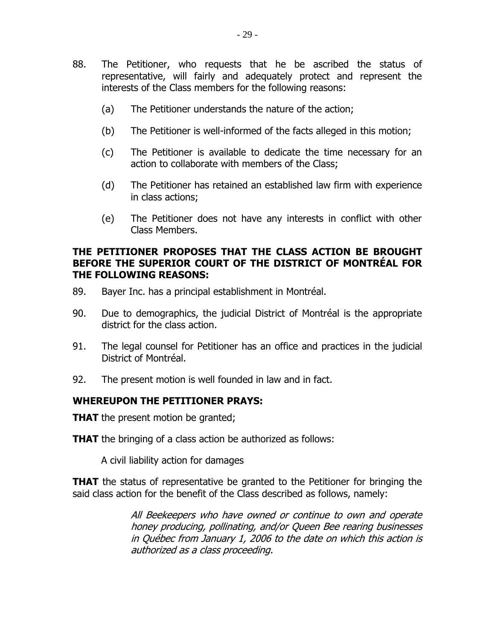- 88. The Petitioner, who requests that he be ascribed the status of representative, will fairly and adequately protect and represent the interests of the Class members for the following reasons:
	- (a) The Petitioner understands the nature of the action;
	- (b) The Petitioner is well-informed of the facts alleged in this motion;
	- (c) The Petitioner is available to dedicate the time necessary for an action to collaborate with members of the Class;
	- (d) The Petitioner has retained an established law firm with experience in class actions;
	- (e) The Petitioner does not have any interests in conflict with other Class Members.

### **THE PETITIONER PROPOSES THAT THE CLASS ACTION BE BROUGHT BEFORE THE SUPERIOR COURT OF THE DISTRICT OF MONTRÉAL FOR THE FOLLOWING REASONS:**

- 89. Bayer Inc. has a principal establishment in Montréal.
- 90. Due to demographics, the judicial District of Montréal is the appropriate district for the class action.
- 91. The legal counsel for Petitioner has an office and practices in the judicial District of Montréal.
- 92. The present motion is well founded in law and in fact.

#### **WHEREUPON THE PETITIONER PRAYS:**

**THAT** the present motion be granted;

**THAT** the bringing of a class action be authorized as follows:

A civil liability action for damages

**THAT** the status of representative be granted to the Petitioner for bringing the said class action for the benefit of the Class described as follows, namely:

> All Beekeepers who have owned or continue to own and operate honey producing, pollinating, and/or Queen Bee rearing businesses in Québec from January 1, 2006 to the date on which this action is authorized as a class proceeding.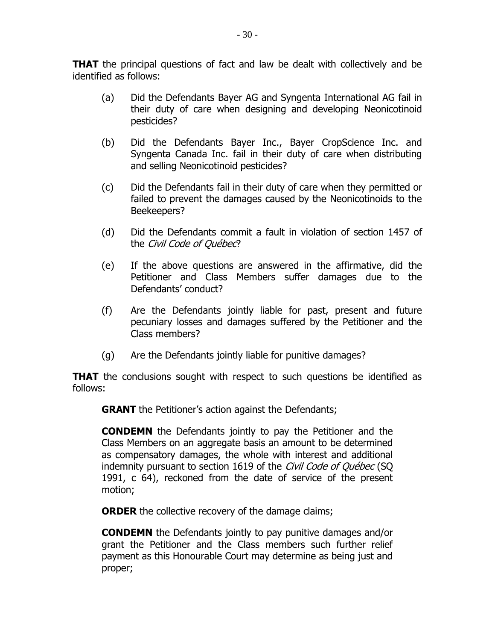**THAT** the principal questions of fact and law be dealt with collectively and be identified as follows:

- (a) Did the Defendants Bayer AG and Syngenta International AG fail in their duty of care when designing and developing Neonicotinoid pesticides?
- (b) Did the Defendants Bayer Inc., Bayer CropScience Inc. and Syngenta Canada Inc. fail in their duty of care when distributing and selling Neonicotinoid pesticides?
- (c) Did the Defendants fail in their duty of care when they permitted or failed to prevent the damages caused by the Neonicotinoids to the Beekeepers?
- (d) Did the Defendants commit a fault in violation of section 1457 of the Civil Code of Québec?
- (e) If the above questions are answered in the affirmative, did the Petitioner and Class Members suffer damages due to the Defendants' conduct?
- (f) Are the Defendants jointly liable for past, present and future pecuniary losses and damages suffered by the Petitioner and the Class members?
- (g) Are the Defendants jointly liable for punitive damages?

**THAT** the conclusions sought with respect to such questions be identified as follows:

**GRANT** the Petitioner's action against the Defendants;

**CONDEMN** the Defendants jointly to pay the Petitioner and the Class Members on an aggregate basis an amount to be determined as compensatory damages, the whole with interest and additional indemnity pursuant to section 1619 of the *Civil Code of Québec* (SQ 1991, c 64), reckoned from the date of service of the present motion;

**ORDER** the collective recovery of the damage claims;

**CONDEMN** the Defendants jointly to pay punitive damages and/or grant the Petitioner and the Class members such further relief payment as this Honourable Court may determine as being just and proper;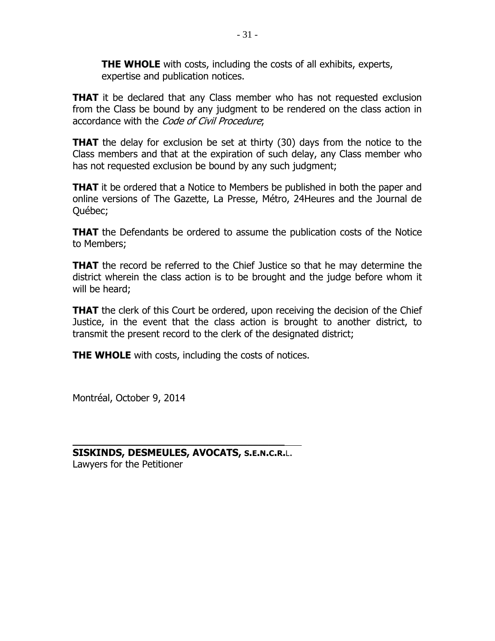**THE WHOLE** with costs, including the costs of all exhibits, experts, expertise and publication notices.

**THAT** it be declared that any Class member who has not requested exclusion from the Class be bound by any judgment to be rendered on the class action in accordance with the Code of Civil Procedure;

**THAT** the delay for exclusion be set at thirty (30) days from the notice to the Class members and that at the expiration of such delay, any Class member who has not requested exclusion be bound by any such judgment;

**THAT** it be ordered that a Notice to Members be published in both the paper and online versions of The Gazette, La Presse, Métro, 24Heures and the Journal de Québec;

**THAT** the Defendants be ordered to assume the publication costs of the Notice to Members;

**THAT** the record be referred to the Chief Justice so that he may determine the district wherein the class action is to be brought and the judge before whom it will be heard;

**THAT** the clerk of this Court be ordered, upon receiving the decision of the Chief Justice, in the event that the class action is brought to another district, to transmit the present record to the clerk of the designated district;

**THE WHOLE** with costs, including the costs of notices.

Montréal, October 9, 2014

**SISKINDS, DESMEULES, AVOCATS, S.E.N.C.R.**L. Lawyers for the Petitioner

\_\_\_\_\_\_\_\_\_\_\_\_\_\_\_\_\_\_\_\_\_\_\_\_\_\_\_\_\_\_\_\_\_\_\_\_\_\_\_\_